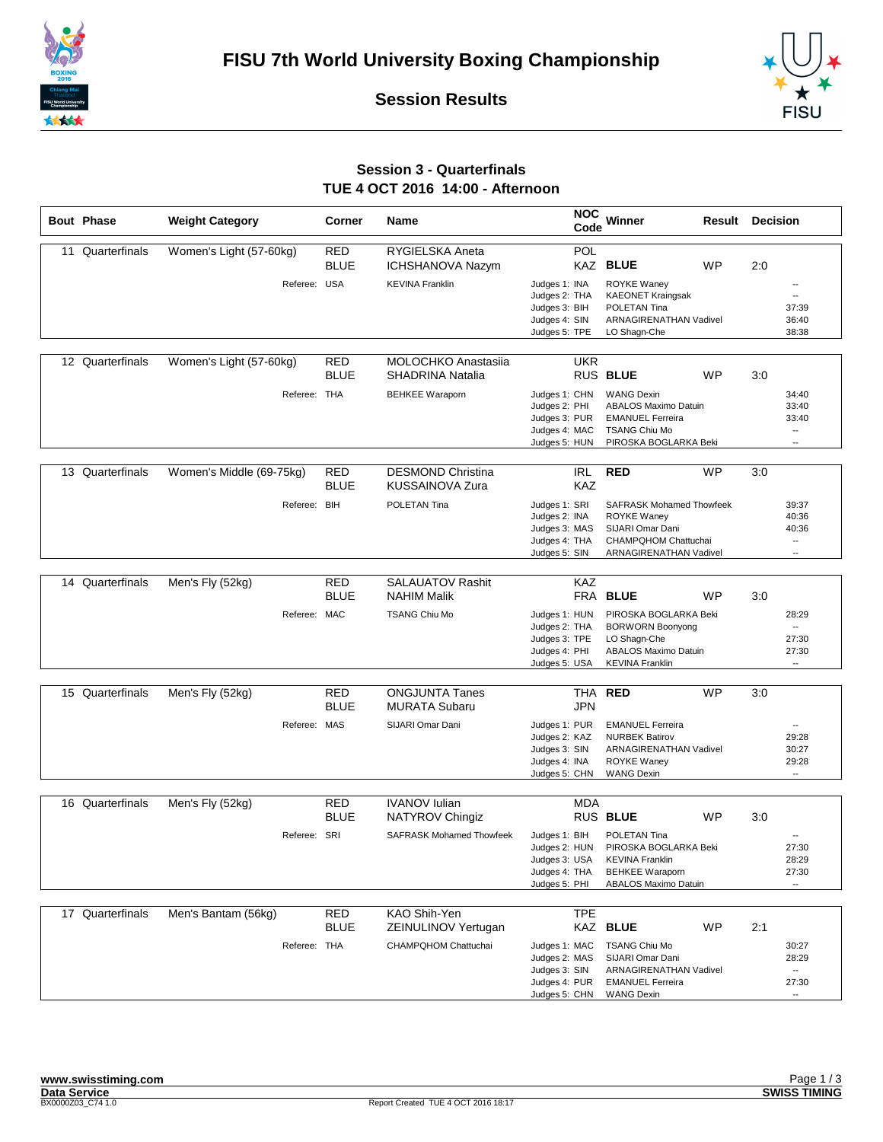





## **Session 3 - Quarterfinals TUE 4 OCT 2016 14:00 - Afternoon**

|    | <b>Bout Phase</b> | <b>Weight Category</b>   | Corner                    | <b>Name</b>                                           | <b>NOC</b><br>Code                                                                | Winner                                                                                                                       | Result | <b>Decision</b>                                                                 |
|----|-------------------|--------------------------|---------------------------|-------------------------------------------------------|-----------------------------------------------------------------------------------|------------------------------------------------------------------------------------------------------------------------------|--------|---------------------------------------------------------------------------------|
| 11 | Quarterfinals     | Women's Light (57-60kg)  | <b>RED</b><br><b>BLUE</b> | RYGIELSKA Aneta<br>ICHSHANOVA Nazym                   | <b>POL</b>                                                                        | KAZ BLUE<br><b>WP</b>                                                                                                        | 2:0    |                                                                                 |
|    |                   |                          | Referee: USA              | <b>KEVINA Franklin</b>                                | Judges 1: INA<br>Judges 2: THA<br>Judges 3: BIH<br>Judges 4: SIN<br>Judges 5: TPE | ROYKE Waney<br><b>KAEONET Kraingsak</b><br>POLETAN Tina<br>ARNAGIRENATHAN Vadivel<br>LO Shagn-Che                            |        | $\overline{\phantom{a}}$<br>$\overline{a}$<br>37:39<br>36:40<br>38:38           |
|    | 12 Quarterfinals  | Women's Light (57-60kg)  | <b>RED</b><br><b>BLUE</b> | <b>MOLOCHKO Anastasija</b><br><b>SHADRINA Natalia</b> | <b>UKR</b>                                                                        | RUS BLUE<br><b>WP</b>                                                                                                        | 3:0    |                                                                                 |
|    |                   |                          | Referee: THA              | <b>BEHKEE Waraporn</b>                                | Judges 1: CHN<br>Judges 2: PHI<br>Judges 3: PUR<br>Judges 4: MAC<br>Judges 5: HUN | <b>WANG Dexin</b><br><b>ABALOS Maximo Datuin</b><br><b>EMANUEL Ferreira</b><br><b>TSANG Chiu Mo</b><br>PIROSKA BOGLARKA Beki |        | 34:40<br>33:40<br>33:40<br>$\overline{\phantom{a}}$<br>$\overline{\phantom{a}}$ |
|    |                   |                          |                           |                                                       |                                                                                   |                                                                                                                              |        |                                                                                 |
|    | 13 Quarterfinals  | Women's Middle (69-75kg) | RED<br><b>BLUE</b>        | <b>DESMOND Christina</b><br><b>KUSSAINOVA Zura</b>    | <b>IRL</b><br><b>KAZ</b>                                                          | <b>RED</b><br>WP                                                                                                             | 3:0    |                                                                                 |
|    |                   | Referee: BIH             |                           | POLETAN Tina                                          | Judges 1: SRI<br>Judges 2: INA<br>Judges 3: MAS<br>Judges 4: THA<br>Judges 5: SIN | <b>SAFRASK Mohamed Thowfeek</b><br><b>ROYKE Waney</b><br>SIJARI Omar Dani<br>CHAMPQHOM Chattuchai<br>ARNAGIRENATHAN Vadivel  |        | 39:37<br>40:36<br>40:36<br>$\overline{\phantom{a}}$<br>--                       |
|    | 14 Quarterfinals  | Men's Fly (52kg)         | RED                       | <b>SALAUATOV Rashit</b>                               | KAZ                                                                               |                                                                                                                              |        |                                                                                 |
|    |                   |                          | <b>BLUE</b>               | <b>NAHIM Malik</b>                                    |                                                                                   | FRA BLUE<br><b>WP</b>                                                                                                        | 3:0    |                                                                                 |
|    |                   |                          | Referee: MAC              | <b>TSANG Chiu Mo</b>                                  | Judges 1: HUN<br>Judges 2: THA<br>Judges 3: TPE<br>Judges 4: PHI<br>Judges 5: USA | PIROSKA BOGLARKA Beki<br><b>BORWORN Boonyong</b><br>LO Shagn-Che<br><b>ABALOS Maximo Datuin</b><br><b>KEVINA Franklin</b>    |        | 28:29<br>$\overline{\phantom{a}}$<br>27:30<br>27:30<br>                         |
|    | 15 Quarterfinals  | Men's Fly (52kg)         | RED<br><b>BLUE</b>        | <b>ONGJUNTA Tanes</b><br><b>MURATA Subaru</b>         | THA<br><b>JPN</b>                                                                 | <b>RED</b><br><b>WP</b>                                                                                                      | 3:0    |                                                                                 |
|    |                   |                          | Referee: MAS              | SIJARI Omar Dani                                      | Judges 1: PUR<br>Judges 2: KAZ<br>Judges 3: SIN<br>Judges 4: INA<br>Judges 5: CHN | <b>EMANUEL Ferreira</b><br><b>NURBEK Batirov</b><br><b>ARNAGIRENATHAN Vadivel</b><br><b>ROYKE Waney</b><br><b>WANG Dexin</b> |        | 29:28<br>30:27<br>29:28<br>$\overline{\phantom{a}}$                             |
|    |                   |                          |                           |                                                       |                                                                                   |                                                                                                                              |        |                                                                                 |
|    | 16 Quarterfinals  | Men's Fly (52kg)         | <b>RED</b><br><b>BLUE</b> | <b>IVANOV</b> Iulian<br>NATYROV Chingiz               | <b>MDA</b>                                                                        | RUS BLUE<br><b>WP</b>                                                                                                        | 3:0    |                                                                                 |
|    |                   | Referee: SRI             |                           | <b>SAFRASK Mohamed Thowfeek</b>                       | Judges 1: BIH<br>Judges 2: HUN<br>Judges 3: USA<br>Judges 4: THA<br>Judges 5: PHI | POLETAN Tina<br>PIROSKA BOGLARKA Beki<br><b>KEVINA Franklin</b><br><b>BEHKEE Waraporn</b><br><b>ABALOS Maximo Datuin</b>     |        | 27:30<br>28:29<br>27:30                                                         |
|    | 17 Quarterfinals  |                          |                           | KAO Shih-Yen                                          |                                                                                   |                                                                                                                              |        |                                                                                 |
|    |                   | Men's Bantam (56kg)      | <b>RED</b><br><b>BLUE</b> | ZEINULINOV Yertugan                                   | <b>TPE</b>                                                                        | KAZ BLUE<br>WP                                                                                                               | 2:1    |                                                                                 |
|    |                   |                          | Referee: THA              | CHAMPQHOM Chattuchai                                  | Judges 1: MAC<br>Judges 2: MAS<br>Judges 3: SIN<br>Judges 4: PUR<br>Judges 5: CHN | <b>TSANG Chiu Mo</b><br>SIJARI Omar Dani<br>ARNAGIRENATHAN Vadivel<br><b>EMANUEL Ferreira</b><br><b>WANG Dexin</b>           |        | 30:27<br>28:29<br>--<br>27:30<br>$\overline{\phantom{a}}$                       |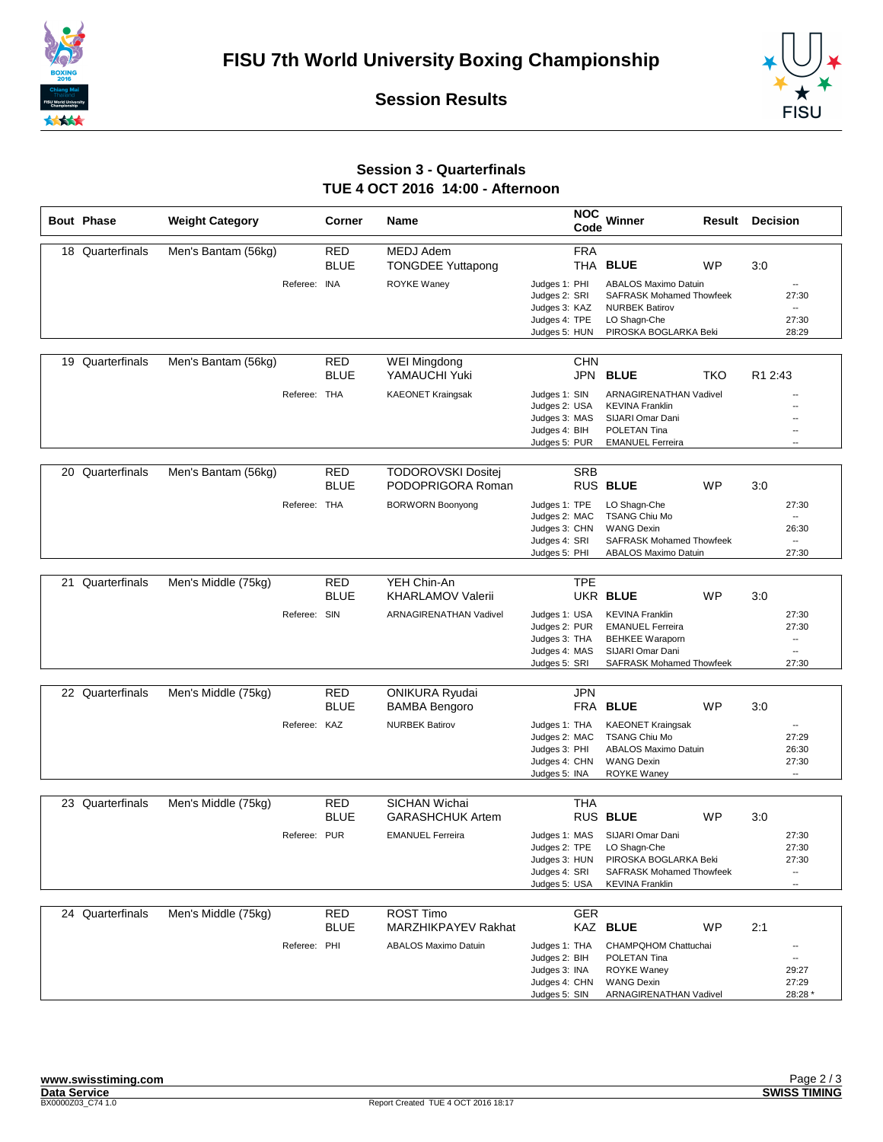





## **Session 3 - Quarterfinals TUE 4 OCT 2016 14:00 - Afternoon**

| <b>Bout Phase</b> | <b>Weight Category</b> |              | Corner                    | <b>Name</b>                                     | <b>NOC</b><br>Code                                                                | Winner<br>Result                                                                                                                   | <b>Decision</b>                                                                 |
|-------------------|------------------------|--------------|---------------------------|-------------------------------------------------|-----------------------------------------------------------------------------------|------------------------------------------------------------------------------------------------------------------------------------|---------------------------------------------------------------------------------|
| 18 Quarterfinals  | Men's Bantam (56kg)    |              | <b>RED</b>                | <b>MEDJ Adem</b>                                | <b>FRA</b>                                                                        |                                                                                                                                    |                                                                                 |
|                   |                        |              | <b>BLUE</b>               | <b>TONGDEE Yuttapong</b>                        |                                                                                   | THA BLUE<br><b>WP</b>                                                                                                              | 3:0                                                                             |
|                   |                        | Referee:     | <b>INA</b>                | ROYKE Waney                                     | Judges 1: PHI<br>Judges 2: SRI<br>Judges 3: KAZ<br>Judges 4: TPE                  | <b>ABALOS Maximo Datuin</b><br><b>SAFRASK Mohamed Thowfeek</b><br><b>NURBEK Batirov</b><br>LO Shagn-Che                            | $\overline{\phantom{a}}$<br>27:30<br>$\overline{\phantom{a}}$<br>27:30          |
|                   |                        |              |                           |                                                 | Judges 5: HUN                                                                     | PIROSKA BOGLARKA Beki                                                                                                              | 28:29                                                                           |
| 19 Quarterfinals  | Men's Bantam (56kg)    |              | RED<br><b>BLUE</b>        | WEI Mingdong<br>YAMAUCHI Yuki                   | <b>CHN</b><br>JPN                                                                 | <b>BLUE</b><br>TKO                                                                                                                 | R1 2:43                                                                         |
|                   |                        | Referee: THA |                           | <b>KAEONET Kraingsak</b>                        | Judges 1: SIN<br>Judges 2: USA<br>Judges 3: MAS<br>Judges 4: BIH<br>Judges 5: PUR | <b>ARNAGIRENATHAN Vadivel</b><br><b>KEVINA Franklin</b><br>SIJARI Omar Dani<br>POLETAN Tina<br><b>EMANUEL Ferreira</b>             | $\overline{a}$<br>$\overline{\phantom{a}}$<br>$\overline{a}$                    |
|                   |                        |              |                           |                                                 |                                                                                   |                                                                                                                                    |                                                                                 |
| 20 Quarterfinals  | Men's Bantam (56kg)    |              | <b>RED</b><br><b>BLUE</b> | <b>TODOROVSKI Dositej</b><br>PODOPRIGORA Roman  | <b>SRB</b>                                                                        | RUS BLUE<br><b>WP</b>                                                                                                              | 3:0                                                                             |
|                   |                        | Referee: THA |                           | <b>BORWORN Boonyong</b>                         | Judges 1: TPE<br>Judges 2: MAC<br>Judges 3: CHN<br>Judges 4: SRI<br>Judges 5: PHI | LO Shagn-Che<br><b>TSANG Chiu Mo</b><br><b>WANG Dexin</b><br><b>SAFRASK Mohamed Thowfeek</b><br>ABALOS Maximo Datuin               | 27:30<br>$\overline{\phantom{a}}$<br>26:30<br>$\overline{\phantom{a}}$<br>27:30 |
|                   |                        |              |                           |                                                 |                                                                                   |                                                                                                                                    |                                                                                 |
| 21 Quarterfinals  | Men's Middle (75kg)    |              | <b>RED</b><br><b>BLUE</b> | YEH Chin-An<br><b>KHARLAMOV Valerii</b>         | <b>TPE</b>                                                                        | UKR BLUE<br><b>WP</b>                                                                                                              | 3:0                                                                             |
|                   |                        | Referee: SIN |                           | <b>ARNAGIRENATHAN Vadivel</b>                   | Judges 1: USA<br>Judges 2: PUR<br>Judges 3: THA<br>Judges 4: MAS<br>Judges 5: SRI | <b>KEVINA Franklin</b><br><b>EMANUEL Ferreira</b><br><b>BEHKEE Waraporn</b><br>SIJARI Omar Dani<br><b>SAFRASK Mohamed Thowfeek</b> | 27:30<br>27:30<br>--<br><br>27:30                                               |
| 22 Quarterfinals  | Men's Middle (75kg)    |              | <b>RED</b>                | <b>ONIKURA Ryudai</b>                           | <b>JPN</b>                                                                        |                                                                                                                                    |                                                                                 |
|                   |                        |              | <b>BLUE</b>               | <b>BAMBA Bengoro</b>                            |                                                                                   | FRA BLUE<br><b>WP</b>                                                                                                              | 3:0                                                                             |
|                   |                        | Referee: KAZ |                           | <b>NURBEK Batirov</b>                           | Judges 1: THA<br>Judges 2: MAC<br>Judges 3: PHI<br>Judges 4: CHN<br>Judges 5: INA | <b>KAEONET Kraingsak</b><br><b>TSANG Chiu Mo</b><br><b>ABALOS Maximo Datuin</b><br><b>WANG Dexin</b><br><b>ROYKE Waney</b>         | 27:29<br>26:30<br>27:30<br>$\overline{\phantom{a}}$                             |
|                   |                        |              |                           |                                                 |                                                                                   |                                                                                                                                    |                                                                                 |
| 23 Quarterfinals  | Men's Middle (75kg)    |              | <b>RED</b><br><b>BLUE</b> | <b>SICHAN Wichai</b><br><b>GARASHCHUK Artem</b> | <b>THA</b>                                                                        | <b>RUS BLUE</b><br><b>WP</b>                                                                                                       | 3:0                                                                             |
|                   |                        | Referee: PUR |                           | <b>EMANUEL Ferreira</b>                         | Judges 1: MAS<br>Judges 2: TPE<br>Judges 3: HUN<br>Judges 4: SRI<br>Judges 5: USA | SIJARI Omar Dani<br>LO Shagn-Che<br>PIROSKA BOGLARKA Beki<br><b>SAFRASK Mohamed Thowfeek</b><br><b>KEVINA Franklin</b>             | 27:30<br>27:30<br>27:30<br>۰.                                                   |
| 24 Quarterfinals  |                        |              |                           |                                                 |                                                                                   |                                                                                                                                    |                                                                                 |
|                   | Men's Middle (75kg)    |              | <b>RED</b><br><b>BLUE</b> | <b>ROST Timo</b><br>MARZHIKPAYEV Rakhat         | <b>GER</b>                                                                        | KAZ BLUE<br>WP                                                                                                                     | 2:1                                                                             |
|                   |                        | Referee: PHI |                           | ABALOS Maximo Datuin                            | Judges 1: THA<br>Judges 2: BIH<br>Judges 3: INA<br>Judges 4: CHN<br>Judges 5: SIN | CHAMPQHOM Chattuchai<br>POLETAN Tina<br><b>ROYKE Waney</b><br><b>WANG Dexin</b><br>ARNAGIRENATHAN Vadivel                          | --<br>29:27<br>27:29<br>28:28 *                                                 |